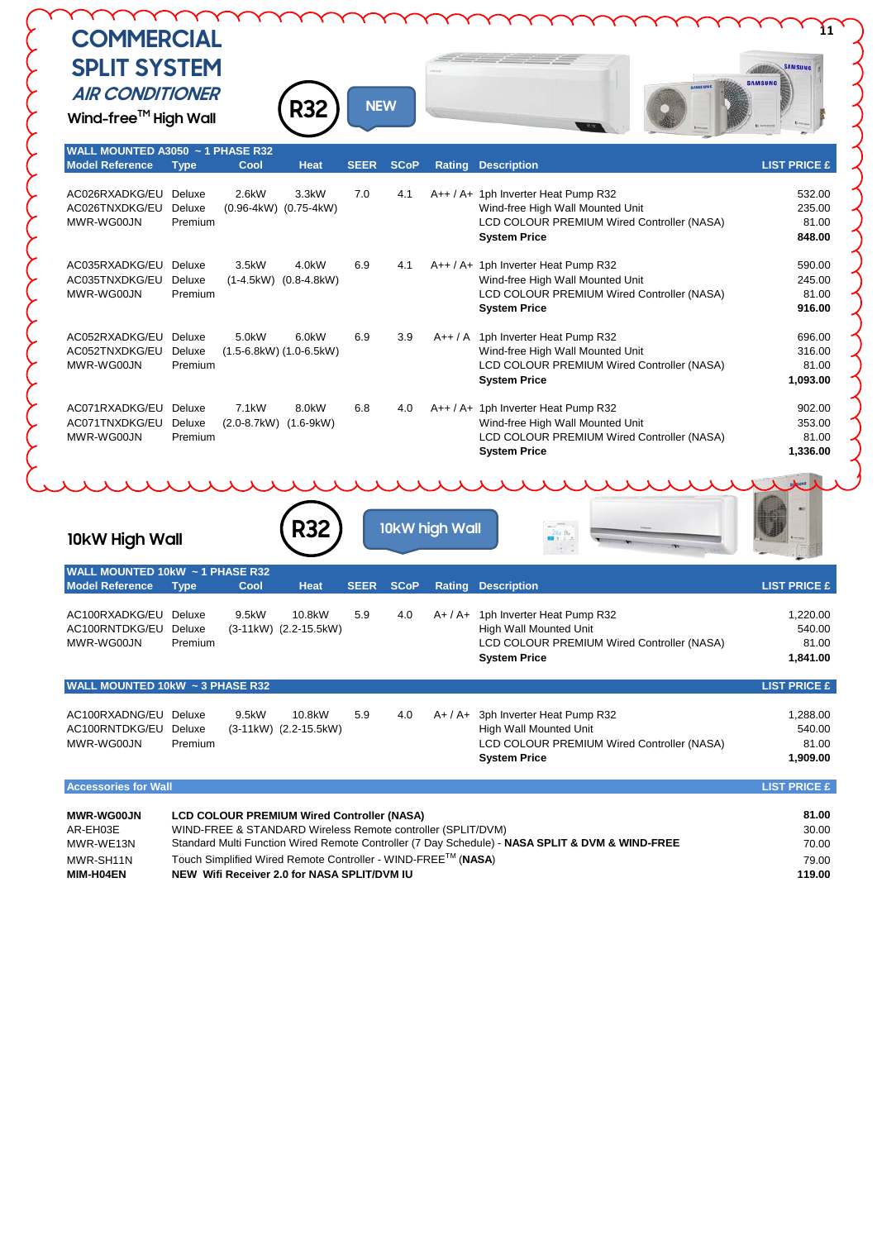## **COMMERCIAL SPLIT SYSTEM AIR CONDITIONER**

**Wind-free™ High Wall** 

 $\left\{\begin{matrix} \epsilon \\ \epsilon \end{matrix}\right\}$ 

Commo

**R32**



| WALL MOUNTED A3050 ~ 1 PHASE R32<br><b>Model Reference</b> | <b>Type</b>                                                                                     | Cool                  | <b>Heat</b>                                                  | <b>SEER</b> | <b>SCoP</b> | Rating    | <b>Description</b>                                                       | <b>LIST PRICE £</b> |
|------------------------------------------------------------|-------------------------------------------------------------------------------------------------|-----------------------|--------------------------------------------------------------|-------------|-------------|-----------|--------------------------------------------------------------------------|---------------------|
| AC026RXADKG/EU Deluxe                                      |                                                                                                 | 2.6kW                 | 3.3kW                                                        | 7.0         | 4.1         |           | A++ / A+ 1ph Inverter Heat Pump R32                                      | 532.00              |
| AC026TNXDKG/EU Deluxe                                      |                                                                                                 |                       | $(0.96-4kW)$ $(0.75-4kW)$                                    |             |             |           | Wind-free High Wall Mounted Unit                                         | 235.00              |
| MWR-WG00JN                                                 | Premium                                                                                         |                       |                                                              |             |             |           | LCD COLOUR PREMIUM Wired Controller (NASA)                               | 81.00               |
|                                                            |                                                                                                 |                       |                                                              |             |             |           | <b>System Price</b>                                                      | 848.00              |
| AC035RXADKG/EU                                             | Deluxe                                                                                          | 3.5kW                 | $4.0$ kW                                                     | 6.9         | 4.1         |           | A++ / A+ 1ph Inverter Heat Pump R32                                      | 590.00              |
| AC035TNXDKG/EU                                             | Deluxe                                                                                          |                       | $(1-4.5kW)$ $(0.8-4.8kW)$                                    |             |             |           | Wind-free High Wall Mounted Unit                                         | 245.00              |
| MWR-WG00JN                                                 | Premium                                                                                         |                       |                                                              |             |             |           | <b>LCD COLOUR PREMIUM Wired Controller (NASA)</b><br><b>System Price</b> | 81.00<br>916.00     |
| AC052RXADKG/EU Deluxe                                      |                                                                                                 | 5.0kW                 | 6.0kW                                                        | 6.9         | 3.9         |           | A++ / A 1ph Inverter Heat Pump R32                                       | 696.00              |
| AC052TNXDKG/EU                                             | Deluxe                                                                                          |                       | $(1.5-6.8kW)$ $(1.0-6.5kW)$                                  |             |             |           | Wind-free High Wall Mounted Unit                                         | 316.00              |
| MWR-WG00JN                                                 | Premium                                                                                         |                       |                                                              |             |             |           | LCD COLOUR PREMIUM Wired Controller (NASA)                               | 81.00               |
|                                                            |                                                                                                 |                       |                                                              |             |             |           | <b>System Price</b>                                                      | 1,093.00            |
| AC071RXADKG/EU Deluxe                                      |                                                                                                 | 7.1 <sub>k</sub> W    | 8.0kW                                                        | 6.8         | 4.0         |           | A++ / A+ 1ph Inverter Heat Pump R32                                      | 902.00              |
| AC071TNXDKG/EU Deluxe                                      |                                                                                                 | (2.0-8.7kW) (1.6-9kW) |                                                              |             |             |           | Wind-free High Wall Mounted Unit                                         | 353.00              |
| MWR-WG00JN                                                 | Premium                                                                                         |                       |                                                              |             |             |           | LCD COLOUR PREMIUM Wired Controller (NASA)<br><b>System Price</b>        | 81.00<br>1,336.00   |
| 10kW High Wall<br>WALL MOUNTED 10kW ~ 1 PHASE R32          |                                                                                                 |                       |                                                              |             |             |           |                                                                          |                     |
| <b>Model Reference</b>                                     | <b>Type</b>                                                                                     | Cool                  | <b>Heat</b>                                                  | <b>SEER</b> | <b>SCoP</b> | Rating    | <b>Description</b>                                                       | <b>LIST PRICE £</b> |
| AC100RXADKG/EU Deluxe                                      |                                                                                                 | 9.5kW                 | 10.8kW                                                       | 5.9         | 4.0         |           | A+ / A+ 1ph Inverter Heat Pump R32                                       | 1,220.00            |
| AC100RNTDKG/EU Deluxe                                      |                                                                                                 |                       | (3-11kW) (2.2-15.5kW)                                        |             |             |           | <b>High Wall Mounted Unit</b>                                            | 540.00              |
| MWR-WG00JN                                                 | Premium                                                                                         |                       |                                                              |             |             |           | LCD COLOUR PREMIUM Wired Controller (NASA)<br><b>System Price</b>        | 81.00<br>1,841.00   |
| WALL MOUNTED 10kW ~ 3 PHASE R32                            |                                                                                                 |                       |                                                              |             |             |           |                                                                          | <b>LIST PRICE £</b> |
| AC100RXADNG/EU Deluxe                                      |                                                                                                 | 9.5kW                 | 10.8kW                                                       | 5.9         | 4.0         | $A+ / A+$ | 3ph Inverter Heat Pump R32                                               | 1,288.00            |
| AC100RNTDKG/EU Deluxe                                      |                                                                                                 |                       | (3-11kW) (2.2-15.5kW)                                        |             |             |           | High Wall Mounted Unit                                                   | 540.00              |
| MWR-WG00JN                                                 | Premium                                                                                         |                       |                                                              |             |             |           | LCD COLOUR PREMIUM Wired Controller (NASA)                               | 81.00               |
|                                                            |                                                                                                 |                       |                                                              |             |             |           | <b>System Price</b>                                                      | 1,909.00            |
| <b>Accessories for Wall</b>                                |                                                                                                 |                       |                                                              |             |             |           |                                                                          | <b>LIST PRICE £</b> |
| <b>MWR-WG00JN</b>                                          |                                                                                                 |                       | <b>LCD COLOUR PREMIUM Wired Controller (NASA)</b>            |             |             |           |                                                                          | 81.00               |
| AR-EH03E                                                   | WIND-FREE & STANDARD Wireless Remote controller (SPLIT/DVM)                                     |                       |                                                              |             |             | 30.00     |                                                                          |                     |
| MWR-WE13N                                                  | Standard Multi Function Wired Remote Controller (7 Day Schedule) - NASA SPLIT & DVM & WIND-FREE |                       |                                                              |             |             |           | 70.00                                                                    |                     |
| MWR-SH11N                                                  |                                                                                                 |                       | Touch Simplified Wired Remote Controller - WIND-FREE™ (NASA) |             |             |           |                                                                          | 79.00               |
| MIM-H04EN                                                  |                                                                                                 |                       | NEW Wifi Receiver 2.0 for NASA SPLIT/DVM IU                  |             |             |           |                                                                          | 119.00              |